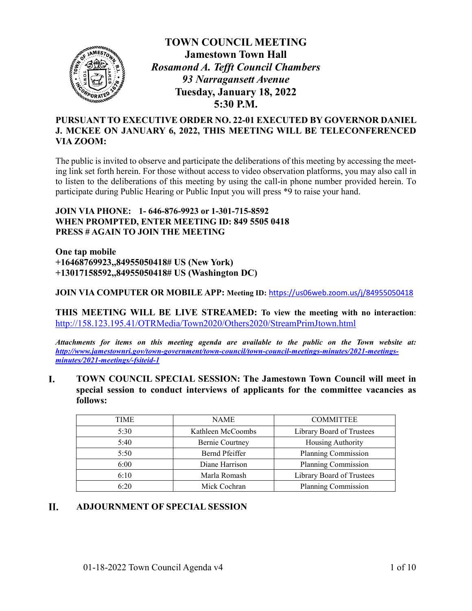

**TOWN COUNCIL MEETING Jamestown Town Hall** *Rosamond A. Tefft Council Chambers 93 Narragansett Avenue* **Tuesday, January 18, 2022 5:30 P.M.**

# **PURSUANT TO EXECUTIVE ORDER NO. 22-01 EXECUTED BY GOVERNOR DANIEL J. MCKEE ON JANUARY 6, 2022, THIS MEETING WILL BE TELECONFERENCED VIA ZOOM:**

The public is invited to observe and participate the deliberations of this meeting by accessing the meeting link set forth herein. For those without access to video observation platforms, you may also call in to listen to the deliberations of this meeting by using the call-in phone number provided herein. To participate during Public Hearing or Public Input you will press \*9 to raise your hand.

## **JOIN VIA PHONE: 1- 646-876-9923 or 1-301-715-8592 WHEN PROMPTED, ENTER MEETING ID: 849 5505 0418 PRESS # AGAIN TO JOIN THE MEETING**

**One tap mobile +16468769923,,84955050418# US (New York) +13017158592,,84955050418# US (Washington DC)**

**JOIN VIA COMPUTER OR MOBILE APP: Meeting ID:** <https://us06web.zoom.us/j/84955050418>

**THIS MEETING WILL BE LIVE STREAMED: To view the meeting with no interaction**: <http://158.123.195.41/OTRMedia/Town2020/Others2020/StreamPrimJtown.html>

*Attachments for items on this meeting agenda are available to the public on the Town website at: [http://www.jamestownri.gov/town-government/town-council/town-council-meetings-minutes/2021-meetings](http://www.jamestownri.gov/town-government/town-council/town-council-meetings-minutes/2021-meetings-minutes/2021-meetings/-fsiteid-1)[minutes/2021-meetings/-fsiteid-1](http://www.jamestownri.gov/town-government/town-council/town-council-meetings-minutes/2021-meetings-minutes/2021-meetings/-fsiteid-1)*

**TOWN COUNCIL SPECIAL SESSION: The Jamestown Town Council will meet in**  L. **special session to conduct interviews of applicants for the committee vacancies as follows:**

| <b>TIME</b> | <b>NAME</b>                               | <b>COMMITTEE</b>          |  |
|-------------|-------------------------------------------|---------------------------|--|
|             |                                           |                           |  |
| 5:30        | Kathleen McCoombs                         | Library Board of Trustees |  |
| 5:40        | <b>Bernie Courtney</b>                    | Housing Authority         |  |
| 5:50        | Planning Commission<br>Bernd Pfeiffer     |                           |  |
| 6:00        | Planning Commission<br>Diane Harrison     |                           |  |
| 6:10        | Marla Romash<br>Library Board of Trustees |                           |  |
| 6:20        | Mick Cochran                              | Planning Commission       |  |

#### **II. ADJOURNMENT OF SPECIAL SESSION**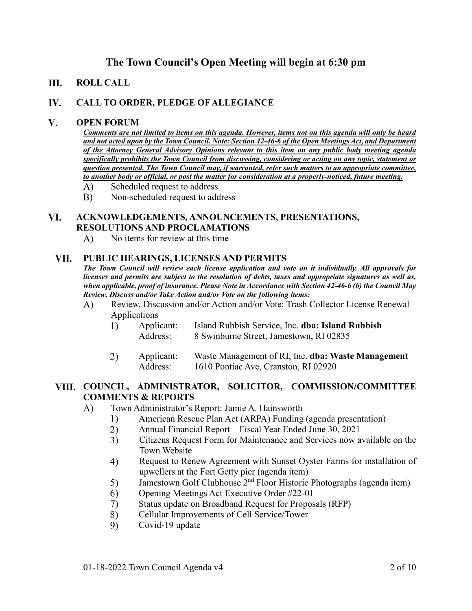# **The Town Council's Open Meeting will begin at 6:30 pm**

#### III. **ROLL CALL**

#### IV. **CALL TO ORDER, PLEDGE OF ALLEGIANCE**

#### $V_{\star}$ **OPEN FORUM**

*Comments are not limited to items on this agenda. However, items not on this agenda will only be heard and not acted upon by the Town Council. Note: Section 42-46-6 of the Open Meetings Act, and Department of the Attorney General Advisory Opinions relevant to this item on any public body meeting agenda specifically prohibits the Town Council from discussing, considering or acting on any topic, statement or question presented. The Town Council may, if warranted, refer such matters to an appropriate committee, to another body or official, or post the matter for consideration at a properly-noticed, future meeting.*

- $\mathbf{A}$ Scheduled request to address
- $B)$ Non-scheduled request to address

### VI. **ACKNOWLEDGEMENTS, ANNOUNCEMENTS, PRESENTATIONS, RESOLUTIONS AND PROCLAMATIONS**

 $\bf{A}$ No items for review at this time

#### VII. **PUBLIC HEARINGS, LICENSES AND PERMITS**

*The Town Council will review each license application and vote on it individually. All approvals for licenses and permits are subject to the resolution of debts, taxes and appropriate signatures as well as, when applicable, proof of insurance. Please Note in Accordance with Section 42-46-6 (b) the Council May Review, Discuss and/or Take Action and/or Vote on the following items:*

- $\bf{A}$ Review, Discussion and/or Action and/or Vote: Trash Collector License Renewal Applications
	- 1) Applicant: Island Rubbish Service, Inc. **dba: Island Rubbish** Address: 8 Swinburne Street, Jamestown, RI 02835
	- 2) Applicant: Waste Management of RI, Inc. **dba: Waste Management** Address: 1610 Pontiac Ave, Cranston, RI 02920

### **COUNCIL, ADMINISTRATOR, SOLICITOR, COMMISSION/COMMITTEE COMMENTS & REPORTS**

- Town Administrator's Report: Jamie A. Hainsworth  $\bf{A}$ 
	- 1) American Rescue Plan Act (ARPA) Funding (agenda presentation)
	- $(2)$ Annual Financial Report – Fiscal Year Ended June 30, 2021
	- $3)$ Citizens Request Form for Maintenance and Services now available on the Town Website
	- Request to Renew Agreement with Sunset Oyster Farms for installation of 4) upwellers at the Fort Getty pier (agenda item)
	- Jamestown Golf Clubhouse 2nd Floor Historic Photographs (agenda item) 5)
	- Opening Meetings Act Executive Order #22-01 6)
	- 7) Status update on Broadband Request for Proposals (RFP)
	- 8) Cellular Improvements of Cell Service/Tower
	- 9) Covid-19 update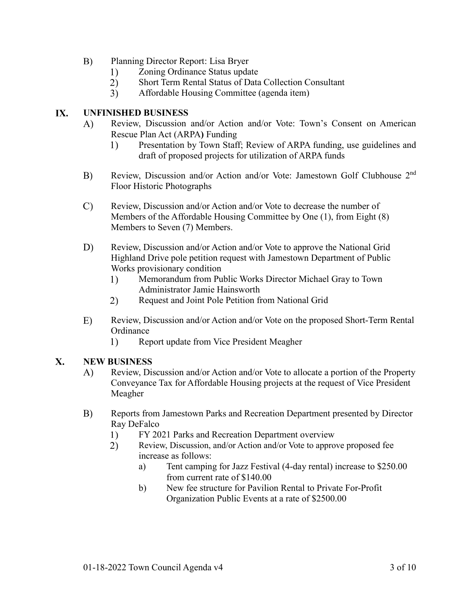- $B)$ Planning Director Report: Lisa Bryer
	- $1)$ Zoning Ordinance Status update
	- $2)$ Short Term Rental Status of Data Collection Consultant
	- Affordable Housing Committee (agenda item)  $3)$

#### IX. **UNFINISHED BUSINESS**

- Review, Discussion and/or Action and/or Vote: Town's Consent on American  $\bf{A}$ Rescue Plan Act (ARPA**)** Funding
	- $1)$ Presentation by Town Staff; Review of ARPA funding, use guidelines and draft of proposed projects for utilization of ARPA funds
- Review, Discussion and/or Action and/or Vote: Jamestown Golf Clubhouse 2nd B) Floor Historic Photographs
- $\mathcal{C}$ Review, Discussion and/or Action and/or Vote to decrease the number of Members of the Affordable Housing Committee by One (1), from Eight (8) Members to Seven (7) Members.
- $D)$ Review, Discussion and/or Action and/or Vote to approve the National Grid Highland Drive pole petition request with Jamestown Department of Public Works provisionary condition
	- Memorandum from Public Works Director Michael Gray to Town  $1)$ Administrator Jamie Hainsworth
	- 2) Request and Joint Pole Petition from National Grid
- $E)$ Review, Discussion and/or Action and/or Vote on the proposed Short-Term Rental **Ordinance** 
	- $1)$ Report update from Vice President Meagher

#### $\mathbf{X}$ . **NEW BUSINESS**

- Review, Discussion and/or Action and/or Vote to allocate a portion of the Property  $\bf{A}$ Conveyance Tax for Affordable Housing projects at the request of Vice President Meagher
- $B)$ Reports from Jamestown Parks and Recreation Department presented by Director Ray DeFalco
	- 1) FY 2021 Parks and Recreation Department overview
	- $2)$ Review, Discussion, and/or Action and/or Vote to approve proposed fee increase as follows:
		- a) Tent camping for Jazz Festival (4-day rental) increase to \$250.00 from current rate of \$140.00
		- b) New fee structure for Pavilion Rental to Private For-Profit Organization Public Events at a rate of \$2500.00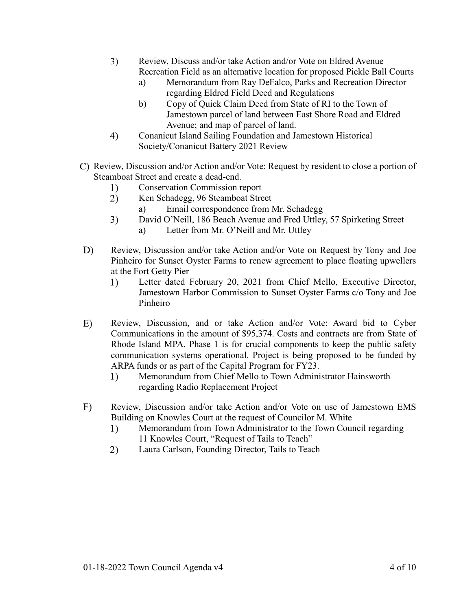- 3) Review, Discuss and/or take Action and/or Vote on Eldred Avenue Recreation Field as an alternative location for proposed Pickle Ball Courts
	- a) Memorandum from Ray DeFalco, Parks and Recreation Director regarding Eldred Field Deed and Regulations
	- b) Copy of Quick Claim Deed from State of RI to the Town of Jamestown parcel of land between East Shore Road and Eldred Avenue; and map of parcel of land.
- 4) Conanicut Island Sailing Foundation and Jamestown Historical Society/Conanicut Battery 2021 Review
- Review, Discussion and/or Action and/or Vote: Request by resident to close a portion of Steamboat Street and create a dead-end.
	- 1) Conservation Commission report
	- 2) Ken Schadegg, 96 Steamboat Street
		- a) Email correspondence from Mr. Schadegg
	- $3)$ David O'Neill, 186 Beach Avenue and Fred Uttley, 57 Spirketing Street
		- a) Letter from Mr. O'Neill and Mr. Uttley
- D) Review, Discussion and/or take Action and/or Vote on Request by Tony and Joe Pinheiro for Sunset Oyster Farms to renew agreement to place floating upwellers at the Fort Getty Pier
	- Letter dated February 20, 2021 from Chief Mello, Executive Director, 1) Jamestown Harbor Commission to Sunset Oyster Farms c/o Tony and Joe Pinheiro
- E) Review, Discussion, and or take Action and/or Vote: Award bid to Cyber Communications in the amount of \$95,374. Costs and contracts are from State of Rhode Island MPA. Phase 1 is for crucial components to keep the public safety communication systems operational. Project is being proposed to be funded by ARPA funds or as part of the Capital Program for FY23.
	- $1)$ Memorandum from Chief Mello to Town Administrator Hainsworth regarding Radio Replacement Project
- $F)$ Review, Discussion and/or take Action and/or Vote on use of Jamestown EMS Building on Knowles Court at the request of Councilor M. White
	- Memorandum from Town Administrator to the Town Council regarding 1) 11 Knowles Court, "Request of Tails to Teach"
	- 2) Laura Carlson, Founding Director, Tails to Teach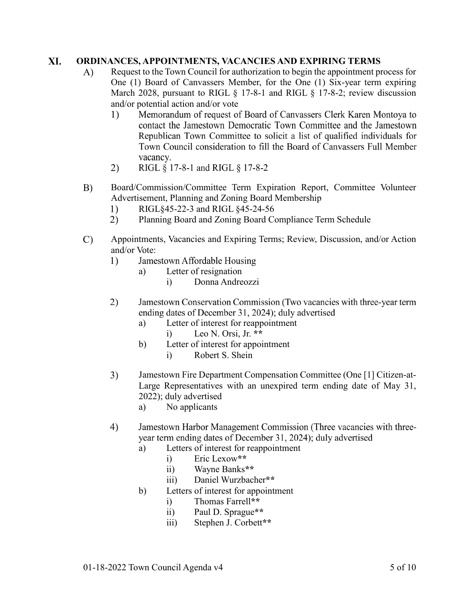#### XI. **ORDINANCES, APPOINTMENTS, VACANCIES AND EXPIRING TERMS**

- $\mathbf{A}$ Request to the Town Council for authorization to begin the appointment process for One (1) Board of Canvassers Member, for the One (1) Six-year term expiring March 2028, pursuant to RIGL § 17-8-1 and RIGL § 17-8-2; review discussion and/or potential action and/or vote
	- $1)$ Memorandum of request of Board of Canvassers Clerk Karen Montoya to contact the Jamestown Democratic Town Committee and the Jamestown Republican Town Committee to solicit a list of qualified individuals for Town Council consideration to fill the Board of Canyassers Full Member vacancy.
	- 2) RIGL § 17-8-1 and RIGL § 17-8-2
- $B)$ Board/Commission/Committee Term Expiration Report, Committee Volunteer Advertisement, Planning and Zoning Board Membership
	- $1)$ RIGL§45-22-3 and RIGL §45-24-56
	- $2)$ Planning Board and Zoning Board Compliance Term Schedule
- $\mathcal{C}$ Appointments, Vacancies and Expiring Terms; Review, Discussion, and/or Action and/or Vote:
	- Jamestown Affordable Housing 1)
		- a) Letter of resignation
			- i) Donna Andreozzi
	- 2) Jamestown Conservation Commission (Two vacancies with three-year term ending dates of December 31, 2024); duly advertised
		- a) Letter of interest for reappointment i) Leo N. Orsi, Jr. **\*\***
		- b) Letter of interest for appointment
			- i) Robert S. Shein
	- $3)$ Jamestown Fire Department Compensation Committee (One [1] Citizen-at-Large Representatives with an unexpired term ending date of May 31, 2022); duly advertised
		- a) No applicants
	- 4) Jamestown Harbor Management Commission (Three vacancies with threeyear term ending dates of December 31, 2024); duly advertised
		- a) Letters of interest for reappointment
			- i) Eric Lexow**\*\***
			- ii) Wayne Banks**\*\***
			- iii) Daniel Wurzbacher**\*\***
		- b) Letters of interest for appointment
			- i) Thomas Farrell**\*\***
			- ii) Paul D. Sprague**\*\***
			- iii) Stephen J. Corbett**\*\***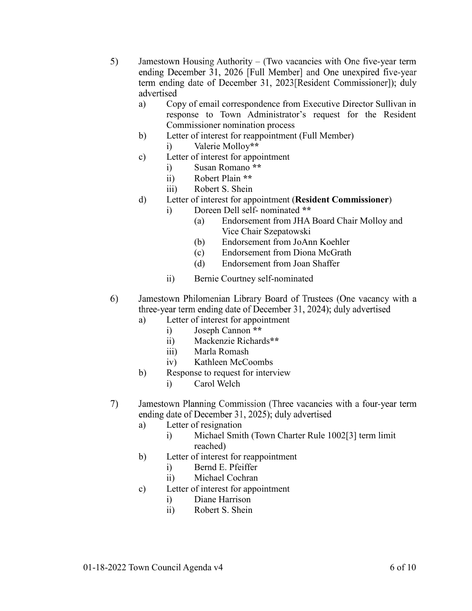- 5) Jamestown Housing Authority  $-$  (Two vacancies with One five-year term ending December 31, 2026 [Full Member] and One unexpired five-year term ending date of December 31, 2023 [Resident Commissioner]); duly advertised
	- a) Copy of email correspondence from Executive Director Sullivan in response to Town Administrator's request for the Resident Commissioner nomination process
	- b) Letter of interest for reappointment (Full Member)
		- i) Valerie Molloy**\*\***
	- c) Letter of interest for appointment
		- i) Susan Romano **\*\***
		- ii) Robert Plain **\*\***
		- iii) Robert S. Shein
	- d) Letter of interest for appointment (**Resident Commissioner**)
		- i) Doreen Dell self- nominated **\*\***
			- (a) Endorsement from JHA Board Chair Molloy and Vice Chair Szepatowski
			- (b) Endorsement from JoAnn Koehler
			- (c) Endorsement from Diona McGrath
			- (d) Endorsement from Joan Shaffer
		- ii) Bernie Courtney self-nominated
- 6) Jamestown Philomenian Library Board of Trustees (One vacancy with a three-year term ending date of December 31, 2024); duly advertised
	- a) Letter of interest for appointment
		- i) Joseph Cannon **\*\***
		- ii) Mackenzie Richards**\*\***
		- iii) Marla Romash
		- iv) Kathleen McCoombs
	- b) Response to request for interview
		- i) Carol Welch
- 7) Jamestown Planning Commission (Three vacancies with a four-year term ending date of December 31, 2025); duly advertised
	- a) Letter of resignation
		- i) Michael Smith (Town Charter Rule 1002[3] term limit reached)
	- b) Letter of interest for reappointment
		- i) Bernd E. Pfeiffer
		- ii) Michael Cochran
	- c) Letter of interest for appointment
		- i) Diane Harrison
		- ii) Robert S. Shein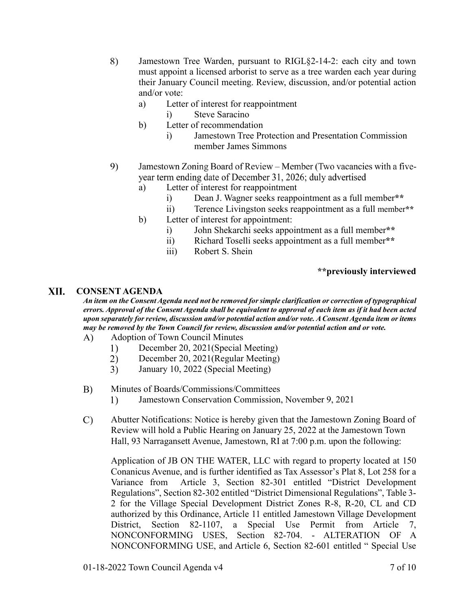- 8) Jamestown Tree Warden, pursuant to RIGL§2-14-2: each city and town must appoint a licensed arborist to serve as a tree warden each year during their January Council meeting. Review, discussion, and/or potential action and/or vote:
	- a) Letter of interest for reappointment
		- i) Steve Saracino
	- b) Letter of recommendation
		- i) Jamestown Tree Protection and Presentation Commission member James Simmons
- 9) Jamestown Zoning Board of Review – Member (Two vacancies with a fiveyear term ending date of December 31, 2026; duly advertised
	- a) Letter of interest for reappointment
		- i) Dean J. Wagner seeks reappointment as a full member**\*\***
		- ii) Terence Livingston seeks reappointment as a full member**\*\***
	- b) Letter of interest for appointment:
		- i) John Shekarchi seeks appointment as a full member**\*\***
		- ii) Richard Toselli seeks appointment as a full member**\*\***
		- iii) Robert S. Shein

# **\*\*previously interviewed**

#### XII. **CONSENT AGENDA**

*An item on the Consent Agenda need not be removed for simple clarification or correction of typographical errors. Approval of the Consent Agenda shall be equivalent to approval of each item as if it had been acted upon separately for review, discussion and/or potential action and/or vote. A Consent Agenda item or items may be removed by the Town Council for review, discussion and/or potential action and or vote.*

- Adoption of Town Council Minutes  $\bf{A}$ 
	- $1)$ December 20, 2021(Special Meeting)
	- $2)$ December 20, 2021(Regular Meeting)
	- $3)$ January 10, 2022 (Special Meeting)
- $B)$ Minutes of Boards/Commissions/Committees
	- Jamestown Conservation Commission, November 9, 2021  $\left( \frac{1}{2} \right)$
- $\mathcal{C}$ Abutter Notifications: Notice is hereby given that the Jamestown Zoning Board of Review will hold a Public Hearing on January 25, 2022 at the Jamestown Town Hall, 93 Narragansett Avenue, Jamestown, RI at 7:00 p.m. upon the following:

Application of JB ON THE WATER, LLC with regard to property located at 150 Conanicus Avenue, and is further identified as Tax Assessor's Plat 8, Lot 258 for a Variance from Article 3, Section 82-301 entitled "District Development Regulations", Section 82-302 entitled "District Dimensional Regulations", Table 3- 2 for the Village Special Development District Zones R-8, R-20, CL and CD authorized by this Ordinance, Article 11 entitled Jamestown Village Development District, Section 82-1107, a Special Use Permit from Article 7, NONCONFORMING USES, Section 82-704. - ALTERATION OF A NONCONFORMING USE, and Article 6, Section 82-601 entitled " Special Use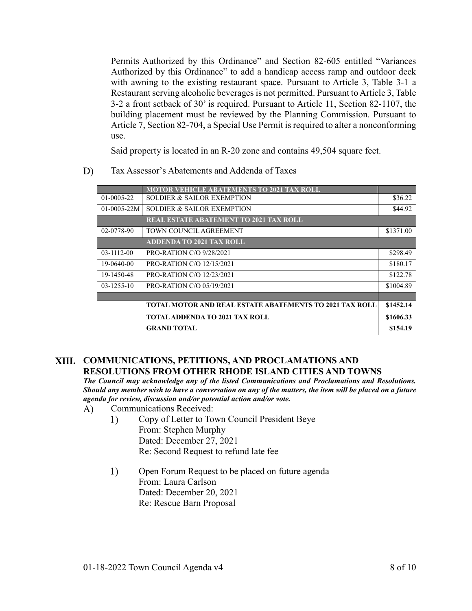Permits Authorized by this Ordinance" and Section 82-605 entitled "Variances Authorized by this Ordinance" to add a handicap access ramp and outdoor deck with awning to the existing restaurant space. Pursuant to Article 3, Table 3-1 a Restaurant serving alcoholic beverages is not permitted. Pursuant to Article 3, Table 3-2 a front setback of 30' is required. Pursuant to Article 11, Section 82-1107, the building placement must be reviewed by the Planning Commission. Pursuant to Article 7, Section 82-704, a Special Use Permit is required to alter a nonconforming use.

Said property is located in an R-20 zone and contains 49,504 square feet.

 $D)$ Tax Assessor's Abatements and Addenda of Taxes

|                  | <b>MOTOR VEHICLE ABATEMENTS TO 2021 TAX ROLL</b>               |           |
|------------------|----------------------------------------------------------------|-----------|
| $01 - 0005 - 22$ | <b>SOLDIER &amp; SAILOR EXEMPTION</b>                          | \$36.22   |
| $01-0005-22M$    | <b>SOLDIER &amp; SAILOR EXEMPTION</b>                          | \$44.92   |
|                  | <b>REAL ESTATE ABATEMENT TO 2021 TAX ROLL</b>                  |           |
| 02-0778-90       | TOWN COUNCIL AGREEMENT                                         | \$1371.00 |
|                  | <b>ADDENDA TO 2021 TAX ROLL</b>                                |           |
| $03 - 1112 - 00$ | <b>PRO-RATION C/O 9/28/2021</b>                                | \$298.49  |
| 19-0640-00       | <b>PRO-RATION C/O 12/15/2021</b>                               | \$180.17  |
| 19-1450-48       | <b>PRO-RATION C/O 12/23/2021</b>                               | \$122.78  |
| $03 - 1255 - 10$ | <b>PRO-RATION C/O 05/19/2021</b>                               | \$1004.89 |
|                  |                                                                |           |
|                  | <b>TOTAL MOTOR AND REAL ESTATE ABATEMENTS TO 2021 TAX ROLL</b> | \$1452.14 |
|                  | <b>TOTAL ADDENDA TO 2021 TAX ROLL</b>                          | \$1606.33 |
|                  | <b>GRAND TOTAL</b>                                             | \$154.19  |

# **COMMUNICATIONS, PETITIONS, AND PROCLAMATIONS AND RESOLUTIONS FROM OTHER RHODE ISLAND CITIES AND TOWNS**

*The Council may acknowledge any of the listed Communications and Proclamations and Resolutions. Should any member wish to have a conversation on any of the matters, the item will be placed on a future agenda for review, discussion and/or potential action and/or vote.* 

- $\bf{A}$ Communications Received:
	- $1)$ Copy of Letter to Town Council President Beye From: Stephen Murphy Dated: December 27, 2021 Re: Second Request to refund late fee
	- $1)$ Open Forum Request to be placed on future agenda From: Laura Carlson Dated: December 20, 2021 Re: Rescue Barn Proposal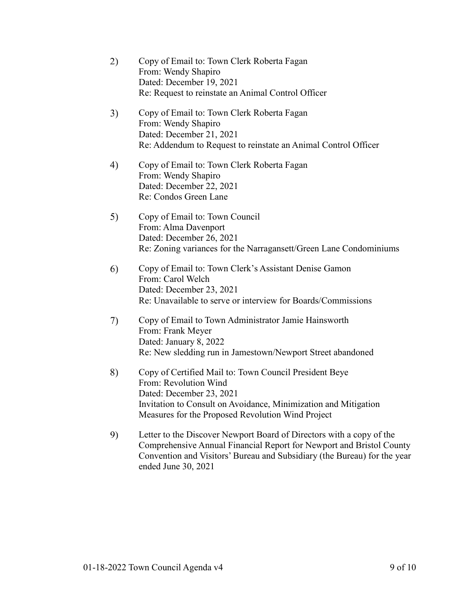| 2) | Copy of Email to: Town Clerk Roberta Fagan<br>From: Wendy Shapiro<br>Dated: December 19, 2021<br>Re: Request to reinstate an Animal Control Officer                                                                                             |
|----|-------------------------------------------------------------------------------------------------------------------------------------------------------------------------------------------------------------------------------------------------|
| 3) | Copy of Email to: Town Clerk Roberta Fagan<br>From: Wendy Shapiro<br>Dated: December 21, 2021<br>Re: Addendum to Request to reinstate an Animal Control Officer                                                                                 |
| 4) | Copy of Email to: Town Clerk Roberta Fagan<br>From: Wendy Shapiro<br>Dated: December 22, 2021<br>Re: Condos Green Lane                                                                                                                          |
| 5) | Copy of Email to: Town Council<br>From: Alma Davenport<br>Dated: December 26, 2021<br>Re: Zoning variances for the Narragansett/Green Lane Condominiums                                                                                         |
| 6) | Copy of Email to: Town Clerk's Assistant Denise Gamon<br>From: Carol Welch<br>Dated: December 23, 2021<br>Re: Unavailable to serve or interview for Boards/Commissions                                                                          |
| 7) | Copy of Email to Town Administrator Jamie Hainsworth<br>From: Frank Meyer<br>Dated: January 8, 2022<br>Re: New sledding run in Jamestown/Newport Street abandoned                                                                               |
| 8) | Copy of Certified Mail to: Town Council President Beye<br>From: Revolution Wind<br>Dated: December 23, 2021<br>Invitation to Consult on Avoidance, Minimization and Mitigation<br>Measures for the Proposed Revolution Wind Project             |
| 9) | Letter to the Discover Newport Board of Directors with a copy of the<br>Comprehensive Annual Financial Report for Newport and Bristol County<br>Convention and Visitors' Bureau and Subsidiary (the Bureau) for the year<br>ended June 30, 2021 |